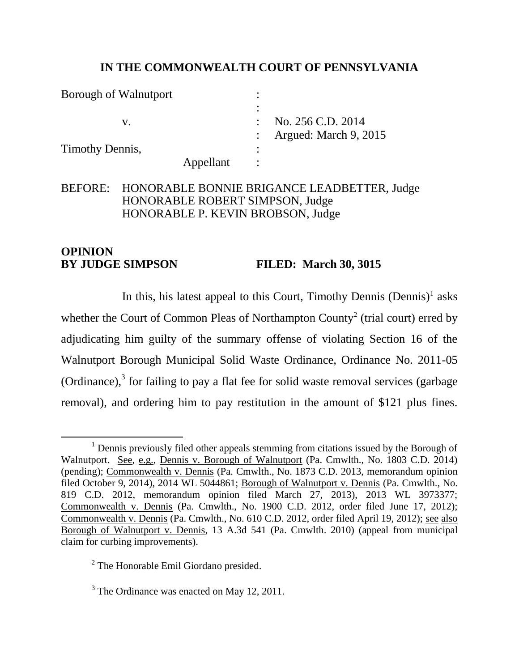## **IN THE COMMONWEALTH COURT OF PENNSYLVANIA**

Borough of Walnutport : : v. No. 256 C.D. 2014 : Argued: March 9, 2015 Timothy Dennis, Appellant :

# BEFORE: HONORABLE BONNIE BRIGANCE LEADBETTER, Judge HONORABLE ROBERT SIMPSON, Judge HONORABLE P. KEVIN BROBSON, Judge

# **OPINION BY JUDGE SIMPSON FILED: March 30, 3015**

In this, his latest appeal to this Court, Timothy Dennis  $(Dennis)^1$  asks whether the Court of Common Pleas of Northampton County<sup>2</sup> (trial court) erred by adjudicating him guilty of the summary offense of violating Section 16 of the Walnutport Borough Municipal Solid Waste Ordinance, Ordinance No. 2011-05 (Ordinance), $3$  for failing to pay a flat fee for solid waste removal services (garbage removal), and ordering him to pay restitution in the amount of \$121 plus fines.

 $\overline{a}$  $<sup>1</sup>$  Dennis previously filed other appeals stemming from citations issued by the Borough of</sup> Walnutport. See, e.g., Dennis v. Borough of Walnutport (Pa. Cmwlth., No. 1803 C.D. 2014) (pending); Commonwealth v. Dennis (Pa. Cmwlth., No. 1873 C.D. 2013, memorandum opinion filed October 9, 2014), 2014 WL 5044861; Borough of Walnutport v. Dennis (Pa. Cmwlth., No. 819 C.D. 2012, memorandum opinion filed March 27, 2013), 2013 WL 3973377; Commonwealth v. Dennis (Pa. Cmwlth., No. 1900 C.D. 2012, order filed June 17, 2012); Commonwealth v. Dennis (Pa. Cmwlth., No. 610 C.D. 2012, order filed April 19, 2012); see also Borough of Walnutport v. Dennis, 13 A.3d 541 (Pa. Cmwlth. 2010) (appeal from municipal claim for curbing improvements).

<sup>&</sup>lt;sup>2</sup> The Honorable Emil Giordano presided.

<sup>&</sup>lt;sup>3</sup> The Ordinance was enacted on May 12, 2011.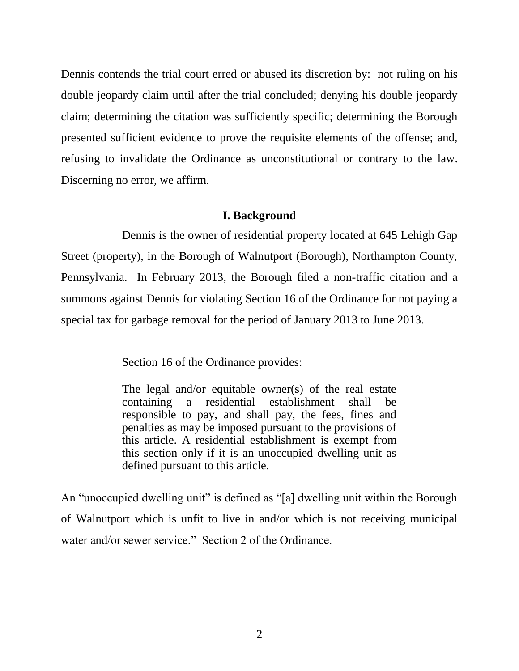Dennis contends the trial court erred or abused its discretion by: not ruling on his double jeopardy claim until after the trial concluded; denying his double jeopardy claim; determining the citation was sufficiently specific; determining the Borough presented sufficient evidence to prove the requisite elements of the offense; and, refusing to invalidate the Ordinance as unconstitutional or contrary to the law. Discerning no error, we affirm.

#### **I. Background**

Dennis is the owner of residential property located at 645 Lehigh Gap Street (property), in the Borough of Walnutport (Borough), Northampton County, Pennsylvania. In February 2013, the Borough filed a non-traffic citation and a summons against Dennis for violating Section 16 of the Ordinance for not paying a special tax for garbage removal for the period of January 2013 to June 2013.

Section 16 of the Ordinance provides:

The legal and/or equitable owner(s) of the real estate containing a residential establishment shall be responsible to pay, and shall pay, the fees, fines and penalties as may be imposed pursuant to the provisions of this article. A residential establishment is exempt from this section only if it is an unoccupied dwelling unit as defined pursuant to this article.

An "unoccupied dwelling unit" is defined as "[a] dwelling unit within the Borough of Walnutport which is unfit to live in and/or which is not receiving municipal water and/or sewer service." Section 2 of the Ordinance.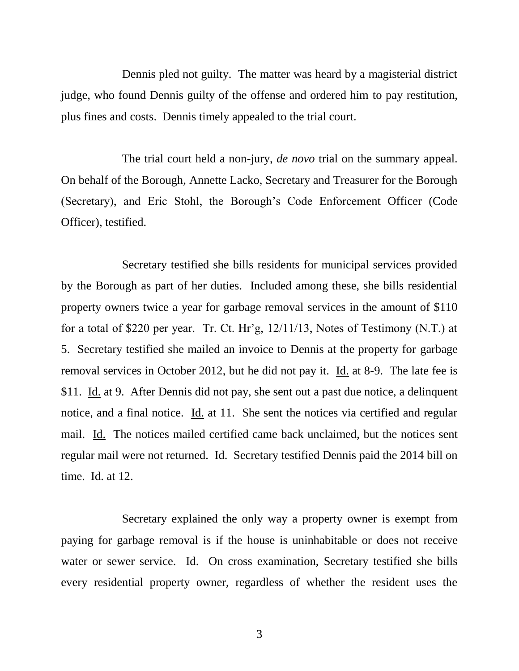Dennis pled not guilty. The matter was heard by a magisterial district judge, who found Dennis guilty of the offense and ordered him to pay restitution, plus fines and costs. Dennis timely appealed to the trial court.

The trial court held a non-jury, *de novo* trial on the summary appeal. On behalf of the Borough, Annette Lacko, Secretary and Treasurer for the Borough (Secretary), and Eric Stohl, the Borough's Code Enforcement Officer (Code Officer), testified.

Secretary testified she bills residents for municipal services provided by the Borough as part of her duties. Included among these, she bills residential property owners twice a year for garbage removal services in the amount of \$110 for a total of \$220 per year. Tr. Ct. Hr'g, 12/11/13, Notes of Testimony (N.T.) at 5. Secretary testified she mailed an invoice to Dennis at the property for garbage removal services in October 2012, but he did not pay it. Id. at 8-9. The late fee is \$11. Id. at 9. After Dennis did not pay, she sent out a past due notice, a delinquent notice, and a final notice. Id. at 11. She sent the notices via certified and regular mail. Id. The notices mailed certified came back unclaimed, but the notices sent regular mail were not returned. Id. Secretary testified Dennis paid the 2014 bill on time. Id. at 12.

Secretary explained the only way a property owner is exempt from paying for garbage removal is if the house is uninhabitable or does not receive water or sewer service. Id. On cross examination, Secretary testified she bills every residential property owner, regardless of whether the resident uses the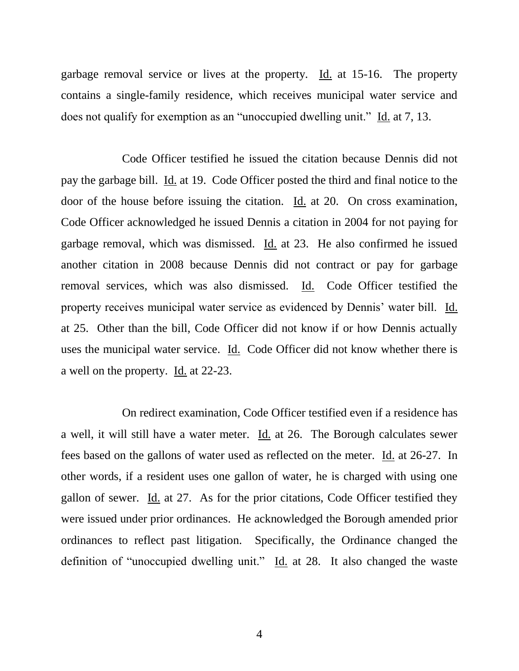garbage removal service or lives at the property. Id. at 15-16. The property contains a single-family residence, which receives municipal water service and does not qualify for exemption as an "unoccupied dwelling unit." Id. at 7, 13.

Code Officer testified he issued the citation because Dennis did not pay the garbage bill. Id. at 19. Code Officer posted the third and final notice to the door of the house before issuing the citation. Id. at 20. On cross examination, Code Officer acknowledged he issued Dennis a citation in 2004 for not paying for garbage removal, which was dismissed. Id. at 23. He also confirmed he issued another citation in 2008 because Dennis did not contract or pay for garbage removal services, which was also dismissed. Id. Code Officer testified the property receives municipal water service as evidenced by Dennis' water bill. Id. at 25. Other than the bill, Code Officer did not know if or how Dennis actually uses the municipal water service. Id. Code Officer did not know whether there is a well on the property. Id. at 22-23.

On redirect examination, Code Officer testified even if a residence has a well, it will still have a water meter. Id. at 26. The Borough calculates sewer fees based on the gallons of water used as reflected on the meter. Id. at 26-27. In other words, if a resident uses one gallon of water, he is charged with using one gallon of sewer. Id. at 27. As for the prior citations, Code Officer testified they were issued under prior ordinances. He acknowledged the Borough amended prior ordinances to reflect past litigation. Specifically, the Ordinance changed the definition of "unoccupied dwelling unit." Id. at 28. It also changed the waste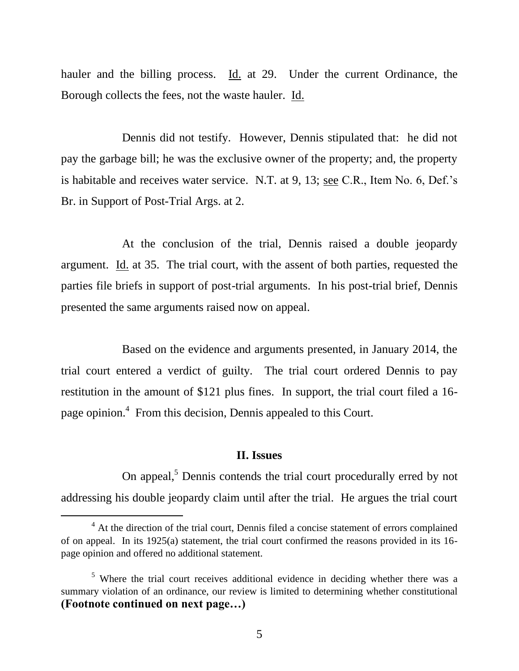hauler and the billing process. Id. at 29. Under the current Ordinance, the Borough collects the fees, not the waste hauler. Id.

Dennis did not testify. However, Dennis stipulated that: he did not pay the garbage bill; he was the exclusive owner of the property; and, the property is habitable and receives water service. N.T. at 9, 13; see C.R., Item No. 6, Def.'s Br. in Support of Post-Trial Args. at 2.

At the conclusion of the trial, Dennis raised a double jeopardy argument. Id. at 35. The trial court, with the assent of both parties, requested the parties file briefs in support of post-trial arguments. In his post-trial brief, Dennis presented the same arguments raised now on appeal.

Based on the evidence and arguments presented, in January 2014, the trial court entered a verdict of guilty. The trial court ordered Dennis to pay restitution in the amount of \$121 plus fines. In support, the trial court filed a 16 page opinion.<sup>4</sup> From this decision, Dennis appealed to this Court.

#### **II. Issues**

On appeal,<sup>5</sup> Dennis contends the trial court procedurally erred by not addressing his double jeopardy claim until after the trial. He argues the trial court

 $\overline{a}$ 

<sup>&</sup>lt;sup>4</sup> At the direction of the trial court, Dennis filed a concise statement of errors complained of on appeal. In its 1925(a) statement, the trial court confirmed the reasons provided in its 16 page opinion and offered no additional statement.

<sup>&</sup>lt;sup>5</sup> Where the trial court receives additional evidence in deciding whether there was a summary violation of an ordinance, our review is limited to determining whether constitutional **(Footnote continued on next page…)**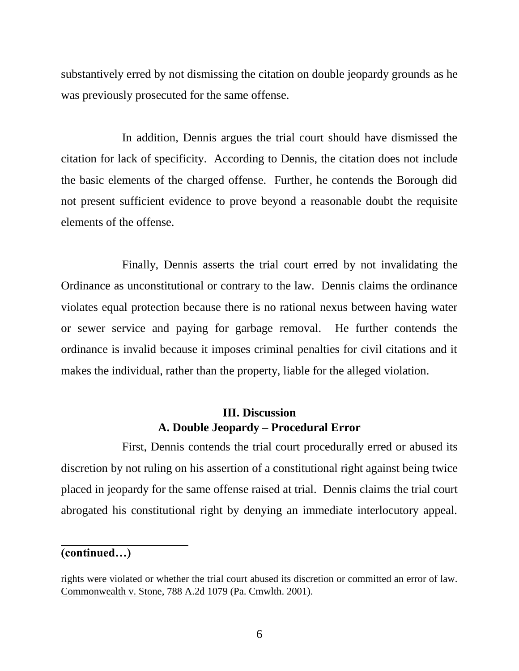substantively erred by not dismissing the citation on double jeopardy grounds as he was previously prosecuted for the same offense.

In addition, Dennis argues the trial court should have dismissed the citation for lack of specificity. According to Dennis, the citation does not include the basic elements of the charged offense. Further, he contends the Borough did not present sufficient evidence to prove beyond a reasonable doubt the requisite elements of the offense.

Finally, Dennis asserts the trial court erred by not invalidating the Ordinance as unconstitutional or contrary to the law. Dennis claims the ordinance violates equal protection because there is no rational nexus between having water or sewer service and paying for garbage removal. He further contends the ordinance is invalid because it imposes criminal penalties for civil citations and it makes the individual, rather than the property, liable for the alleged violation.

# **III. Discussion A. Double Jeopardy – Procedural Error**

First, Dennis contends the trial court procedurally erred or abused its discretion by not ruling on his assertion of a constitutional right against being twice placed in jeopardy for the same offense raised at trial. Dennis claims the trial court abrogated his constitutional right by denying an immediate interlocutory appeal.

#### **(continued…)**

rights were violated or whether the trial court abused its discretion or committed an error of law. Commonwealth v. Stone, 788 A.2d 1079 (Pa. Cmwlth. 2001).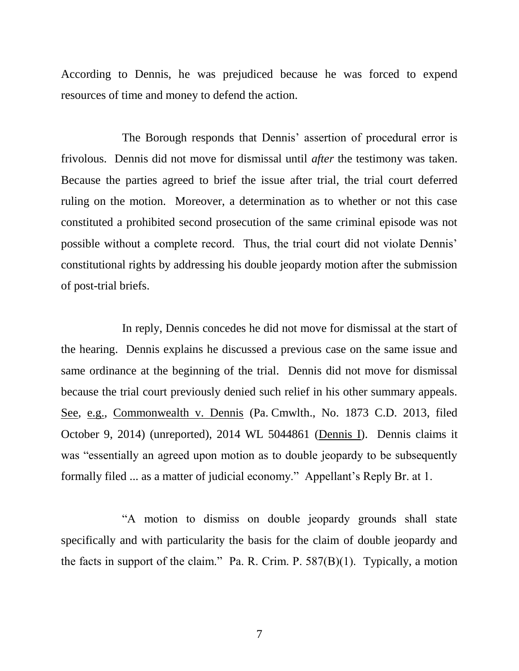According to Dennis, he was prejudiced because he was forced to expend resources of time and money to defend the action.

The Borough responds that Dennis' assertion of procedural error is frivolous. Dennis did not move for dismissal until *after* the testimony was taken. Because the parties agreed to brief the issue after trial, the trial court deferred ruling on the motion. Moreover, a determination as to whether or not this case constituted a prohibited second prosecution of the same criminal episode was not possible without a complete record. Thus, the trial court did not violate Dennis' constitutional rights by addressing his double jeopardy motion after the submission of post-trial briefs.

In reply, Dennis concedes he did not move for dismissal at the start of the hearing. Dennis explains he discussed a previous case on the same issue and same ordinance at the beginning of the trial. Dennis did not move for dismissal because the trial court previously denied such relief in his other summary appeals. See, e.g., Commonwealth v. Dennis (Pa. Cmwlth., No. 1873 C.D. 2013, filed October 9, 2014) (unreported), 2014 WL 5044861 (Dennis I). Dennis claims it was "essentially an agreed upon motion as to double jeopardy to be subsequently formally filed ... as a matter of judicial economy." Appellant's Reply Br. at 1.

"A motion to dismiss on double jeopardy grounds shall state specifically and with particularity the basis for the claim of double jeopardy and the facts in support of the claim." Pa. R. Crim. P.  $587(B)(1)$ . Typically, a motion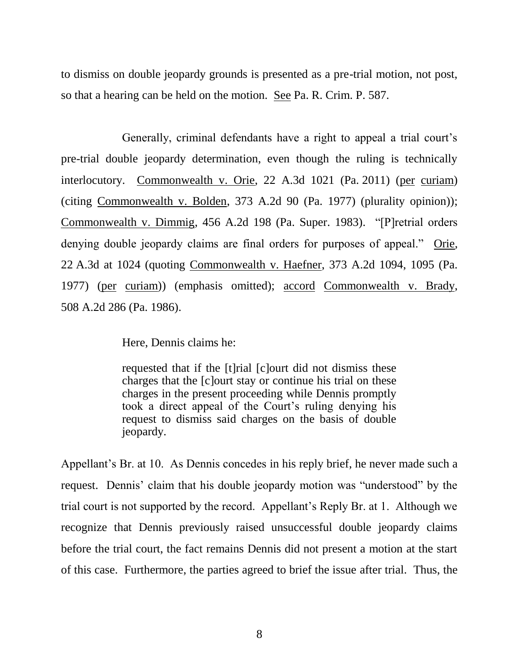to dismiss on double jeopardy grounds is presented as a pre-trial motion, not post, so that a hearing can be held on the motion. See Pa. R. Crim. P. 587.

Generally, criminal defendants have a right to appeal a trial court's pre-trial double jeopardy determination, even though the ruling is technically interlocutory. Commonwealth v. Orie, 22 A.3d 1021 (Pa. 2011) (per curiam) (citing Commonwealth v. Bolden, 373 A.2d 90 (Pa. 1977) (plurality opinion)); Commonwealth v. Dimmig, 456 A.2d 198 (Pa. Super. 1983). "[P]retrial orders denying double jeopardy claims are final orders for purposes of appeal." Orie, 22 A.3d at 1024 (quoting Commonwealth v. Haefner, 373 A.2d 1094, 1095 (Pa. 1977) (per curiam)) (emphasis omitted); accord Commonwealth v. Brady, 508 A.2d 286 (Pa. 1986).

Here, Dennis claims he:

requested that if the [t]rial [c]ourt did not dismiss these charges that the [c]ourt stay or continue his trial on these charges in the present proceeding while Dennis promptly took a direct appeal of the Court's ruling denying his request to dismiss said charges on the basis of double jeopardy.

Appellant's Br. at 10. As Dennis concedes in his reply brief, he never made such a request. Dennis' claim that his double jeopardy motion was "understood" by the trial court is not supported by the record. Appellant's Reply Br. at 1. Although we recognize that Dennis previously raised unsuccessful double jeopardy claims before the trial court, the fact remains Dennis did not present a motion at the start of this case. Furthermore, the parties agreed to brief the issue after trial. Thus, the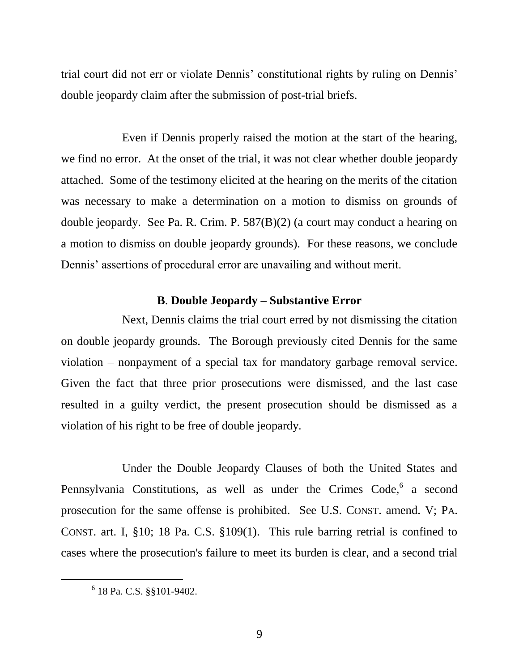trial court did not err or violate Dennis' constitutional rights by ruling on Dennis' double jeopardy claim after the submission of post-trial briefs.

Even if Dennis properly raised the motion at the start of the hearing, we find no error. At the onset of the trial, it was not clear whether double jeopardy attached. Some of the testimony elicited at the hearing on the merits of the citation was necessary to make a determination on a motion to dismiss on grounds of double jeopardy. See Pa. R. Crim. P. 587(B)(2) (a court may conduct a hearing on a motion to dismiss on double jeopardy grounds). For these reasons, we conclude Dennis' assertions of procedural error are unavailing and without merit.

#### **B**. **Double Jeopardy – Substantive Error**

Next, Dennis claims the trial court erred by not dismissing the citation on double jeopardy grounds. The Borough previously cited Dennis for the same violation – nonpayment of a special tax for mandatory garbage removal service. Given the fact that three prior prosecutions were dismissed, and the last case resulted in a guilty verdict, the present prosecution should be dismissed as a violation of his right to be free of double jeopardy.

Under the Double Jeopardy Clauses of both the United States and Pennsylvania Constitutions, as well as under the Crimes Code,<sup>6</sup> a second prosecution for the same offense is prohibited. See U.S. CONST. amend. V; PA. CONST. art. I, §10; 18 Pa. C.S. §109(1). This rule barring retrial is confined to cases where the prosecution's failure to meet its burden is clear, and a second trial

 $\overline{a}$ 

<sup>6</sup> 18 Pa. C.S. §§101-9402.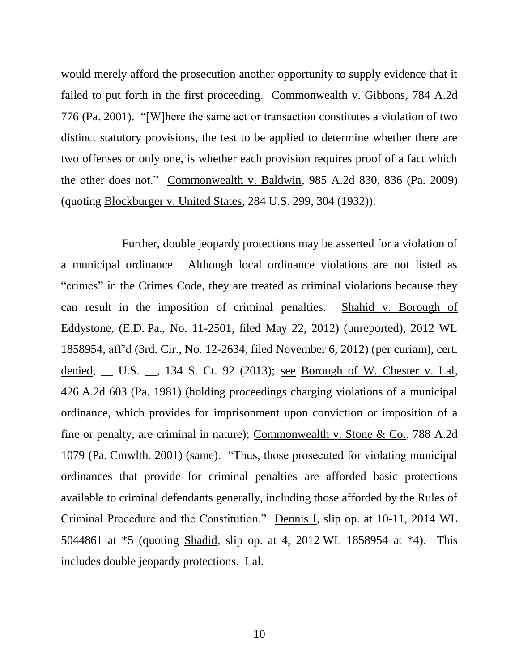would merely afford the prosecution another opportunity to supply evidence that it failed to put forth in the first proceeding. Commonwealth v. Gibbons, 784 A.2d 776 (Pa. 2001). "[W]here the same act or transaction constitutes a violation of two distinct statutory provisions, the test to be applied to determine whether there are two offenses or only one, is whether each provision requires proof of a fact which the other does not." Commonwealth v. Baldwin, 985 A.2d 830, 836 (Pa. 2009) (quoting Blockburger v. United States, 284 U.S. 299, 304 (1932)).

Further, double jeopardy protections may be asserted for a violation of a municipal ordinance. Although local ordinance violations are not listed as "crimes" in the Crimes Code, they are treated as criminal violations because they can result in the imposition of criminal penalties. Shahid v. Borough of Eddystone, (E.D. Pa., No. 11-2501, filed May 22, 2012) (unreported), 2012 WL 1858954, aff'd (3rd. Cir., No. 12-2634, filed November 6, 2012) (per curiam), cert. denied, \_\_ U.S. \_\_, 134 S. Ct. 92 (2013); <u>see Borough of W. Chester v. Lal</u>, 426 A.2d 603 (Pa. 1981) (holding proceedings charging violations of a municipal ordinance, which provides for imprisonment upon conviction or imposition of a fine or penalty, are criminal in nature); Commonwealth v. Stone & Co., 788 A.2d 1079 (Pa. Cmwlth. 2001) (same). "Thus, those prosecuted for violating municipal ordinances that provide for criminal penalties are afforded basic protections available to criminal defendants generally, including those afforded by the Rules of Criminal Procedure and the Constitution." Dennis I, slip op. at 10-11, 2014 WL 5044861 at \*5 (quoting Shadid, slip op. at 4, 2012 WL 1858954 at \*4). This includes double jeopardy protections. Lal.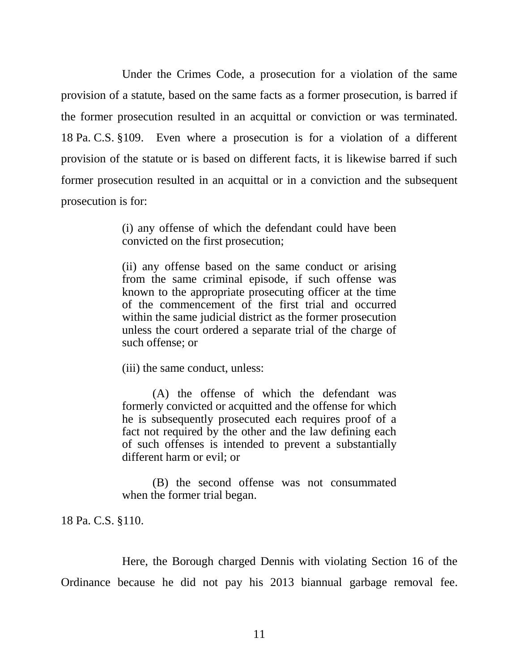Under the Crimes Code, a prosecution for a violation of the same provision of a statute, based on the same facts as a former prosecution, is barred if the former prosecution resulted in an acquittal or conviction or was terminated. 18 Pa. C.S. §109. Even where a prosecution is for a violation of a different provision of the statute or is based on different facts, it is likewise barred if such former prosecution resulted in an acquittal or in a conviction and the subsequent prosecution is for:

> (i) any offense of which the defendant could have been convicted on the first prosecution;

> (ii) any offense based on the same conduct or arising from the same criminal episode, if such offense was known to the appropriate prosecuting officer at the time of the commencement of the first trial and occurred within the same judicial district as the former prosecution unless the court ordered a separate trial of the charge of such offense; or

(iii) the same conduct, unless:

(A) the offense of which the defendant was formerly convicted or acquitted and the offense for which he is subsequently prosecuted each requires proof of a fact not required by the other and the law defining each of such offenses is intended to prevent a substantially different harm or evil; or

(B) the second offense was not consummated when the former trial began.

18 Pa. C.S. §110.

Here, the Borough charged Dennis with violating Section 16 of the Ordinance because he did not pay his 2013 biannual garbage removal fee.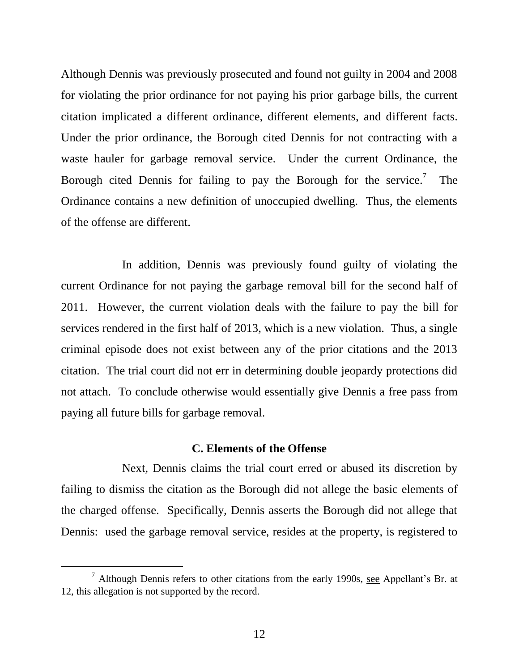Although Dennis was previously prosecuted and found not guilty in 2004 and 2008 for violating the prior ordinance for not paying his prior garbage bills, the current citation implicated a different ordinance, different elements, and different facts. Under the prior ordinance, the Borough cited Dennis for not contracting with a waste hauler for garbage removal service. Under the current Ordinance, the Borough cited Dennis for failing to pay the Borough for the service.<sup>7</sup> The Ordinance contains a new definition of unoccupied dwelling. Thus, the elements of the offense are different.

In addition, Dennis was previously found guilty of violating the current Ordinance for not paying the garbage removal bill for the second half of 2011. However, the current violation deals with the failure to pay the bill for services rendered in the first half of 2013, which is a new violation. Thus, a single criminal episode does not exist between any of the prior citations and the 2013 citation. The trial court did not err in determining double jeopardy protections did not attach. To conclude otherwise would essentially give Dennis a free pass from paying all future bills for garbage removal.

#### **C. Elements of the Offense**

Next, Dennis claims the trial court erred or abused its discretion by failing to dismiss the citation as the Borough did not allege the basic elements of the charged offense. Specifically, Dennis asserts the Borough did not allege that Dennis: used the garbage removal service, resides at the property, is registered to

 $\overline{a}$ 

 $<sup>7</sup>$  Although Dennis refers to other citations from the early 1990s, see Appellant's Br. at</sup> 12, this allegation is not supported by the record.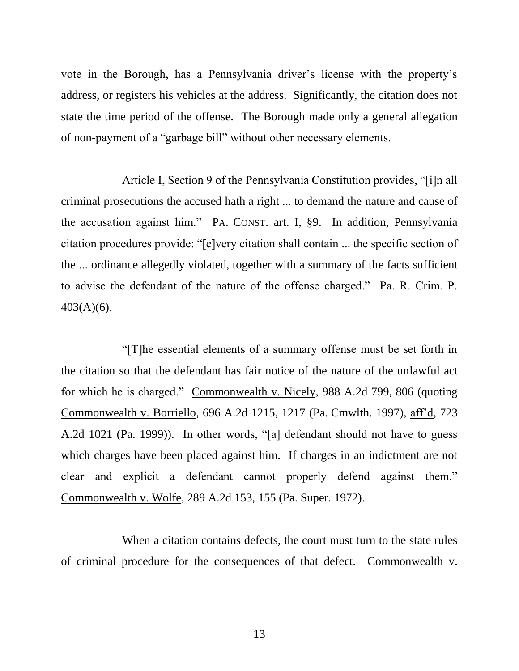vote in the Borough, has a Pennsylvania driver's license with the property's address, or registers his vehicles at the address. Significantly, the citation does not state the time period of the offense. The Borough made only a general allegation of non-payment of a "garbage bill" without other necessary elements.

Article I, Section 9 of the Pennsylvania Constitution provides, "[i]n all criminal prosecutions the accused hath a right ... to demand the nature and cause of the accusation against him." PA. CONST. art. I, §9. In addition, Pennsylvania citation procedures provide: "[e]very citation shall contain ... the specific section of the ... ordinance allegedly violated, together with a summary of the facts sufficient to advise the defendant of the nature of the offense charged." Pa. R. Crim. P. 403(A)(6).

"[T]he essential elements of a summary offense must be set forth in the citation so that the defendant has fair notice of the nature of the unlawful act for which he is charged." Commonwealth v. Nicely, 988 A.2d 799, 806 (quoting Commonwealth v. Borriello, 696 A.2d 1215, 1217 (Pa. Cmwlth. 1997), aff'd, 723 A.2d 1021 (Pa. 1999)). In other words, "[a] defendant should not have to guess which charges have been placed against him. If charges in an indictment are not clear and explicit a defendant cannot properly defend against them." Commonwealth v. Wolfe, 289 A.2d 153, 155 (Pa. Super. 1972).

When a citation contains defects, the court must turn to the state rules of criminal procedure for the consequences of that defect. Commonwealth v.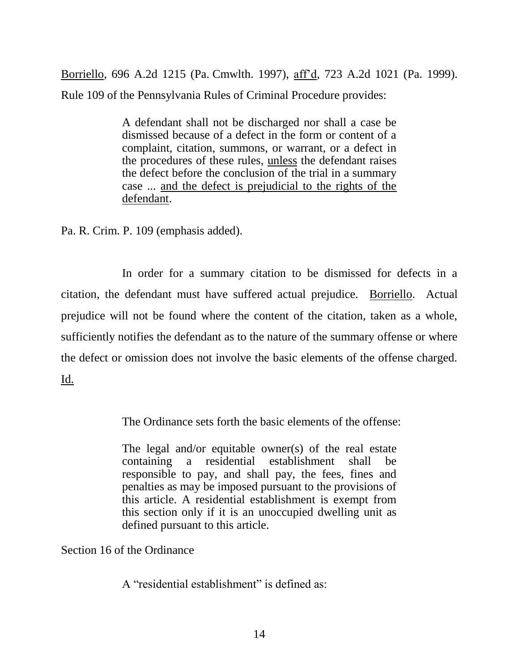Borriello, 696 A.2d 1215 (Pa. Cmwlth. 1997), aff'd, 723 A.2d 1021 (Pa. 1999). Rule 109 of the Pennsylvania Rules of Criminal Procedure provides:

> A defendant shall not be discharged nor shall a case be dismissed because of a defect in the form or content of a complaint, citation, summons, or warrant, or a defect in the procedures of these rules, unless the defendant raises the defect before the conclusion of the trial in a summary case ... and the defect is prejudicial to the rights of the defendant.

Pa. R. Crim. P. 109 (emphasis added).

In order for a summary citation to be dismissed for defects in a citation, the defendant must have suffered actual prejudice. Borriello. Actual prejudice will not be found where the content of the citation, taken as a whole, sufficiently notifies the defendant as to the nature of the summary offense or where the defect or omission does not involve the basic elements of the offense charged. Id.

The Ordinance sets forth the basic elements of the offense:

The legal and/or equitable owner(s) of the real estate containing a residential establishment shall be responsible to pay, and shall pay, the fees, fines and penalties as may be imposed pursuant to the provisions of this article. A residential establishment is exempt from this section only if it is an unoccupied dwelling unit as defined pursuant to this article.

Section 16 of the Ordinance

A "residential establishment" is defined as: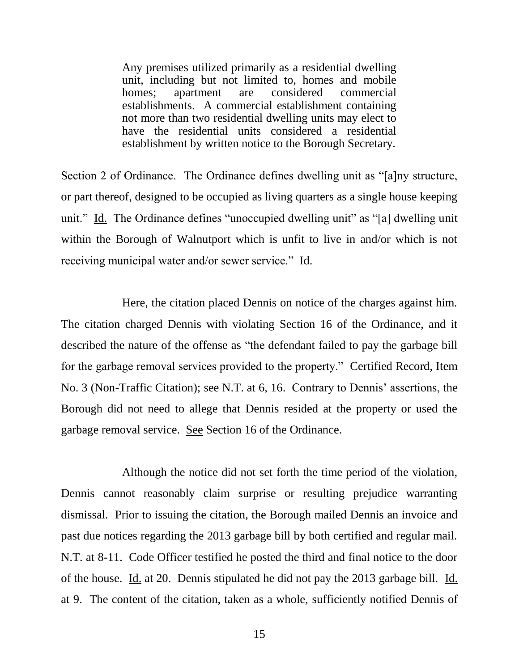Any premises utilized primarily as a residential dwelling unit, including but not limited to, homes and mobile homes; apartment are considered commercial establishments. A commercial establishment containing not more than two residential dwelling units may elect to have the residential units considered a residential establishment by written notice to the Borough Secretary.

Section 2 of Ordinance. The Ordinance defines dwelling unit as "[a]ny structure, or part thereof, designed to be occupied as living quarters as a single house keeping unit." Id. The Ordinance defines "unoccupied dwelling unit" as "[a] dwelling unit within the Borough of Walnutport which is unfit to live in and/or which is not receiving municipal water and/or sewer service." Id.

Here, the citation placed Dennis on notice of the charges against him. The citation charged Dennis with violating Section 16 of the Ordinance, and it described the nature of the offense as "the defendant failed to pay the garbage bill for the garbage removal services provided to the property." Certified Record, Item No. 3 (Non-Traffic Citation); see N.T. at 6, 16. Contrary to Dennis' assertions, the Borough did not need to allege that Dennis resided at the property or used the garbage removal service. See Section 16 of the Ordinance.

Although the notice did not set forth the time period of the violation, Dennis cannot reasonably claim surprise or resulting prejudice warranting dismissal. Prior to issuing the citation, the Borough mailed Dennis an invoice and past due notices regarding the 2013 garbage bill by both certified and regular mail. N.T. at 8-11. Code Officer testified he posted the third and final notice to the door of the house. Id. at 20. Dennis stipulated he did not pay the 2013 garbage bill. Id. at 9. The content of the citation, taken as a whole, sufficiently notified Dennis of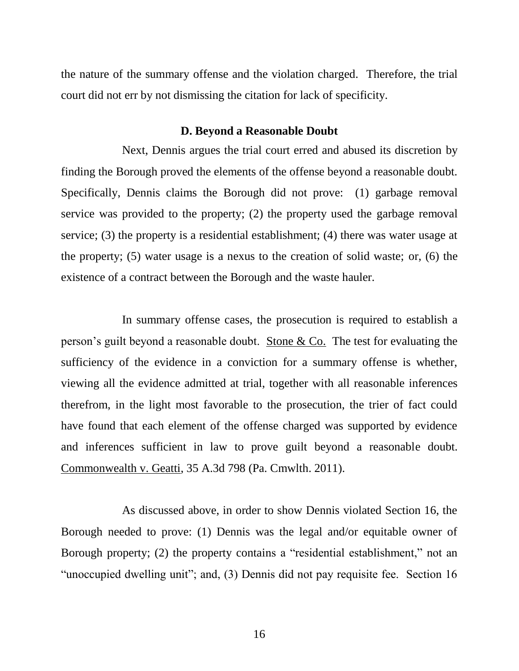the nature of the summary offense and the violation charged. Therefore, the trial court did not err by not dismissing the citation for lack of specificity.

#### **D. Beyond a Reasonable Doubt**

Next, Dennis argues the trial court erred and abused its discretion by finding the Borough proved the elements of the offense beyond a reasonable doubt. Specifically, Dennis claims the Borough did not prove: (1) garbage removal service was provided to the property; (2) the property used the garbage removal service; (3) the property is a residential establishment; (4) there was water usage at the property; (5) water usage is a nexus to the creation of solid waste; or, (6) the existence of a contract between the Borough and the waste hauler.

In summary offense cases, the prosecution is required to establish a person's guilt beyond a reasonable doubt. Stone & Co. The test for evaluating the sufficiency of the evidence in a conviction for a summary offense is whether, viewing all the evidence admitted at trial, together with all reasonable inferences therefrom, in the light most favorable to the prosecution, the trier of fact could have found that each element of the offense charged was supported by evidence and inferences sufficient in law to prove guilt beyond a reasonable doubt. Commonwealth v. Geatti, 35 A.3d 798 (Pa. Cmwlth. 2011).

As discussed above, in order to show Dennis violated Section 16, the Borough needed to prove: (1) Dennis was the legal and/or equitable owner of Borough property; (2) the property contains a "residential establishment," not an "unoccupied dwelling unit"; and, (3) Dennis did not pay requisite fee. Section 16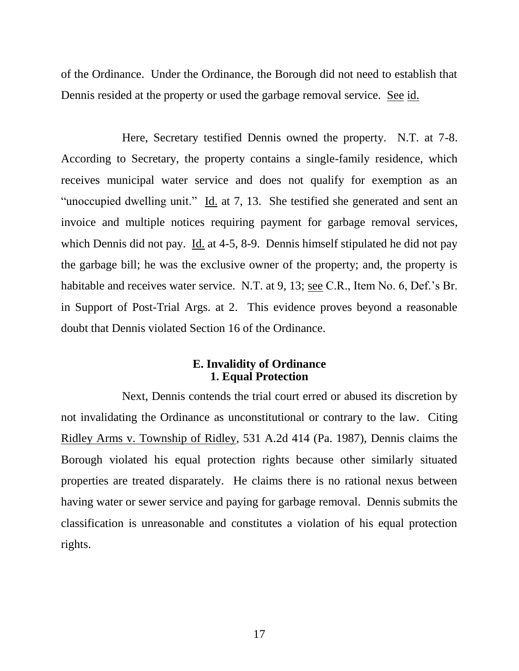of the Ordinance. Under the Ordinance, the Borough did not need to establish that Dennis resided at the property or used the garbage removal service. See id.

Here, Secretary testified Dennis owned the property. N.T. at 7-8. According to Secretary, the property contains a single-family residence, which receives municipal water service and does not qualify for exemption as an "unoccupied dwelling unit." Id. at 7, 13. She testified she generated and sent an invoice and multiple notices requiring payment for garbage removal services, which Dennis did not pay. Id. at 4-5, 8-9. Dennis himself stipulated he did not pay the garbage bill; he was the exclusive owner of the property; and, the property is habitable and receives water service. N.T. at 9, 13; see C.R., Item No. 6, Def.'s Br. in Support of Post-Trial Args. at 2. This evidence proves beyond a reasonable doubt that Dennis violated Section 16 of the Ordinance.

### **E. Invalidity of Ordinance 1. Equal Protection**

Next, Dennis contends the trial court erred or abused its discretion by not invalidating the Ordinance as unconstitutional or contrary to the law. Citing Ridley Arms v. Township of Ridley, 531 A.2d 414 (Pa. 1987), Dennis claims the Borough violated his equal protection rights because other similarly situated properties are treated disparately. He claims there is no rational nexus between having water or sewer service and paying for garbage removal. Dennis submits the classification is unreasonable and constitutes a violation of his equal protection rights.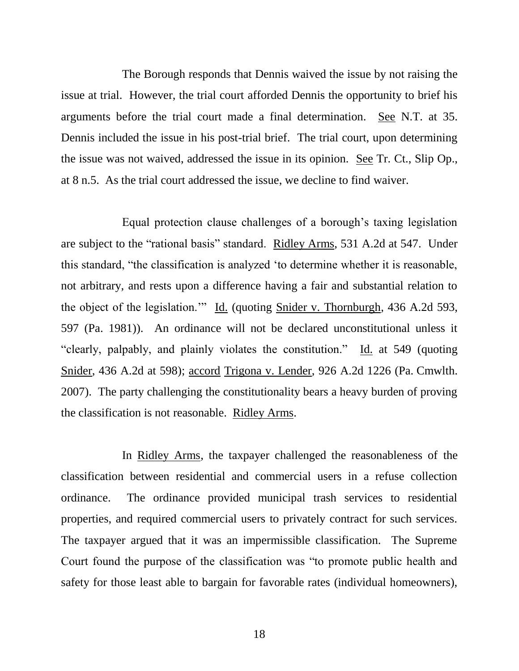The Borough responds that Dennis waived the issue by not raising the issue at trial. However, the trial court afforded Dennis the opportunity to brief his arguments before the trial court made a final determination. See N.T. at 35. Dennis included the issue in his post-trial brief. The trial court, upon determining the issue was not waived, addressed the issue in its opinion. See Tr. Ct., Slip Op., at 8 n.5. As the trial court addressed the issue, we decline to find waiver.

Equal protection clause challenges of a borough's taxing legislation are subject to the "rational basis" standard. Ridley Arms, 531 A.2d at 547. Under this standard, "the classification is analyzed 'to determine whether it is reasonable, not arbitrary, and rests upon a difference having a fair and substantial relation to the object of the legislation.'" Id. (quoting Snider v. Thornburgh, 436 A.2d 593, 597 (Pa. 1981)). An ordinance will not be declared unconstitutional unless it "clearly, palpably, and plainly violates the constitution." Id. at 549 (quoting Snider, 436 A.2d at 598); accord Trigona v. Lender, 926 A.2d 1226 (Pa. Cmwlth. 2007). The party challenging the constitutionality bears a heavy burden of proving the classification is not reasonable. Ridley Arms.

In Ridley Arms, the taxpayer challenged the reasonableness of the classification between residential and commercial users in a refuse collection ordinance. The ordinance provided municipal trash services to residential properties, and required commercial users to privately contract for such services. The taxpayer argued that it was an impermissible classification. The Supreme Court found the purpose of the classification was "to promote public health and safety for those least able to bargain for favorable rates (individual homeowners),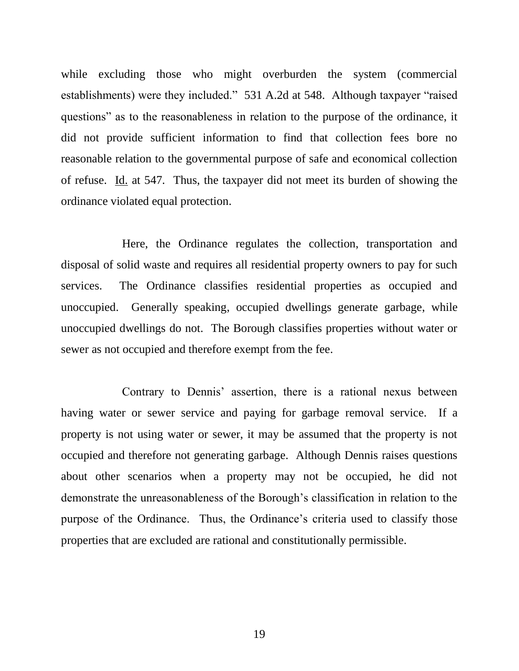while excluding those who might overburden the system (commercial establishments) were they included." 531 A.2d at 548. Although taxpayer "raised questions" as to the reasonableness in relation to the purpose of the ordinance, it did not provide sufficient information to find that collection fees bore no reasonable relation to the governmental purpose of safe and economical collection of refuse. Id. at 547. Thus, the taxpayer did not meet its burden of showing the ordinance violated equal protection.

Here, the Ordinance regulates the collection, transportation and disposal of solid waste and requires all residential property owners to pay for such services. The Ordinance classifies residential properties as occupied and unoccupied. Generally speaking, occupied dwellings generate garbage, while unoccupied dwellings do not. The Borough classifies properties without water or sewer as not occupied and therefore exempt from the fee.

Contrary to Dennis' assertion, there is a rational nexus between having water or sewer service and paying for garbage removal service. If a property is not using water or sewer, it may be assumed that the property is not occupied and therefore not generating garbage. Although Dennis raises questions about other scenarios when a property may not be occupied, he did not demonstrate the unreasonableness of the Borough's classification in relation to the purpose of the Ordinance. Thus, the Ordinance's criteria used to classify those properties that are excluded are rational and constitutionally permissible.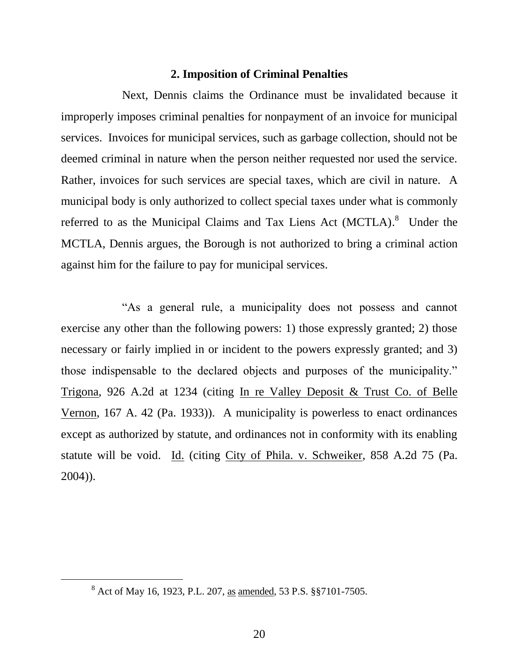#### **2. Imposition of Criminal Penalties**

Next, Dennis claims the Ordinance must be invalidated because it improperly imposes criminal penalties for nonpayment of an invoice for municipal services. Invoices for municipal services, such as garbage collection, should not be deemed criminal in nature when the person neither requested nor used the service. Rather, invoices for such services are special taxes, which are civil in nature. A municipal body is only authorized to collect special taxes under what is commonly referred to as the Municipal Claims and Tax Liens Act (MCTLA).<sup>8</sup> Under the MCTLA, Dennis argues, the Borough is not authorized to bring a criminal action against him for the failure to pay for municipal services.

"As a general rule, a municipality does not possess and cannot exercise any other than the following powers: 1) those expressly granted; 2) those necessary or fairly implied in or incident to the powers expressly granted; and 3) those indispensable to the declared objects and purposes of the municipality." Trigona, 926 A.2d at 1234 (citing In re Valley Deposit & Trust Co. of Belle Vernon, 167 A. 42 (Pa. 1933)). A municipality is powerless to enact ordinances except as authorized by statute, and ordinances not in conformity with its enabling statute will be void. Id. (citing City of Phila. v. Schweiker, 858 A.2d 75 (Pa. 2004)).

 $\overline{a}$ 

<sup>8</sup> Act of May 16, 1923, P.L. 207, as amended, 53 P.S. §§7101-7505.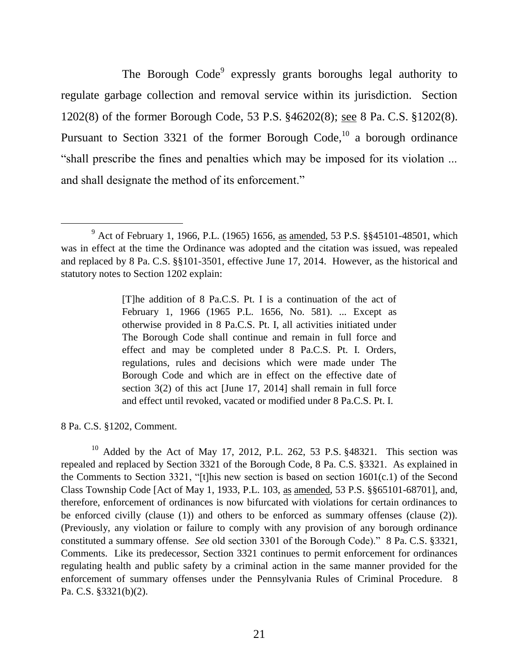The Borough Code<sup>9</sup> expressly grants boroughs legal authority to regulate garbage collection and removal service within its jurisdiction. Section 1202(8) of the former Borough Code, 53 P.S. §46202(8); see 8 Pa. C.S. §1202(8). Pursuant to Section 3321 of the former Borough Code,<sup>10</sup> a borough ordinance "shall prescribe the fines and penalties which may be imposed for its violation ... and shall designate the method of its enforcement."

[T]he addition of 8 Pa.C.S. Pt. I is a continuation of the act of February 1, 1966 (1965 P.L. 1656, No. 581). ... Except as otherwise provided in 8 Pa.C.S. Pt. I, all activities initiated under The Borough Code shall continue and remain in full force and effect and may be completed under 8 Pa.C.S. Pt. I. Orders, regulations, rules and decisions which were made under The Borough Code and which are in effect on the effective date of section 3(2) of this act [June 17, 2014] shall remain in full force and effect until revoked, vacated or modified under 8 Pa.C.S. Pt. I.

8 Pa. C.S. §1202, Comment.

l

<sup>10</sup> Added by the Act of May 17, 2012, P.L. 262, 53 P.S.  $$48321$ . This section was repealed and replaced by Section 3321 of the Borough Code, 8 Pa. C.S. §3321. As explained in the Comments to Section 3321, "[t]his new section is based on section  $1601(c.1)$  of the Second Class Township Code [Act of May 1, 1933, P.L. 103, as amended, 53 P.S. §§65101-68701], and, therefore, enforcement of ordinances is now bifurcated with violations for certain ordinances to be enforced civilly (clause (1)) and others to be enforced as summary offenses (clause (2)). (Previously, any violation or failure to comply with any provision of any borough ordinance constituted a summary offense. *See* old section 3301 of the Borough Code)." 8 Pa. C.S. §3321, Comments. Like its predecessor, Section 3321 continues to permit enforcement for ordinances regulating health and public safety by a criminal action in the same manner provided for the enforcement of summary offenses under the Pennsylvania Rules of Criminal Procedure. 8 Pa. C.S. §3321(b)(2).

<sup>9</sup> Act of February 1, 1966, P.L. (1965) 1656, as amended, 53 P.S. §§45101-48501, which was in effect at the time the Ordinance was adopted and the citation was issued, was repealed and replaced by 8 Pa. C.S. §§101-3501, effective June 17, 2014. However, as the historical and statutory notes to Section 1202 explain: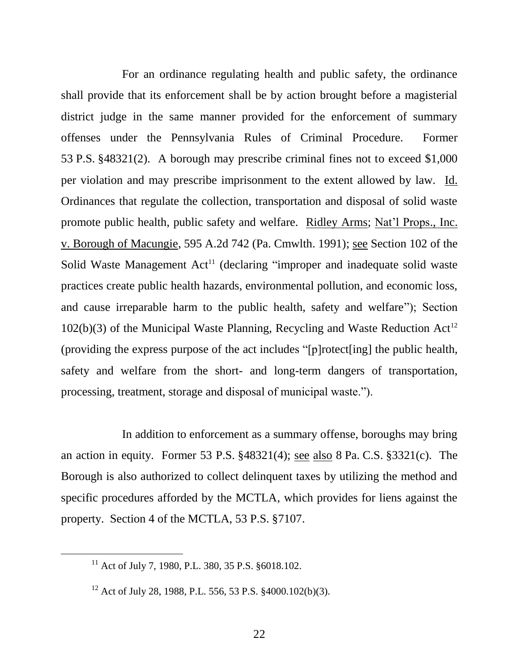For an ordinance regulating health and public safety, the ordinance shall provide that its enforcement shall be by action brought before a magisterial district judge in the same manner provided for the enforcement of summary offenses under the Pennsylvania Rules of Criminal Procedure. Former 53 P.S. §48321(2). A borough may prescribe criminal fines not to exceed \$1,000 per violation and may prescribe imprisonment to the extent allowed by law. Id. Ordinances that regulate the collection, transportation and disposal of solid waste promote public health, public safety and welfare. Ridley Arms; Nat'l Props., Inc. v. Borough of Macungie, 595 A.2d 742 (Pa. Cmwlth. 1991); see Section 102 of the Solid Waste Management  $Act<sup>11</sup>$  (declaring "improper and inadequate solid waste practices create public health hazards, environmental pollution, and economic loss, and cause irreparable harm to the public health, safety and welfare"); Section  $102(b)(3)$  of the Municipal Waste Planning, Recycling and Waste Reduction Act<sup>12</sup> (providing the express purpose of the act includes "[p]rotect[ing] the public health, safety and welfare from the short- and long-term dangers of transportation, processing, treatment, storage and disposal of municipal waste.").

In addition to enforcement as a summary offense, boroughs may bring an action in equity. Former 53 P.S. §48321(4); see also 8 Pa. C.S. §3321(c). The Borough is also authorized to collect delinquent taxes by utilizing the method and specific procedures afforded by the MCTLA, which provides for liens against the property. Section 4 of the MCTLA, 53 P.S. §7107.

 $\overline{a}$ 

<sup>&</sup>lt;sup>11</sup> Act of July 7, 1980, P.L. 380, 35 P.S. §6018.102.

<sup>12</sup> Act of July 28, 1988, P.L. 556, 53 P.S. §4000.102(b)(3).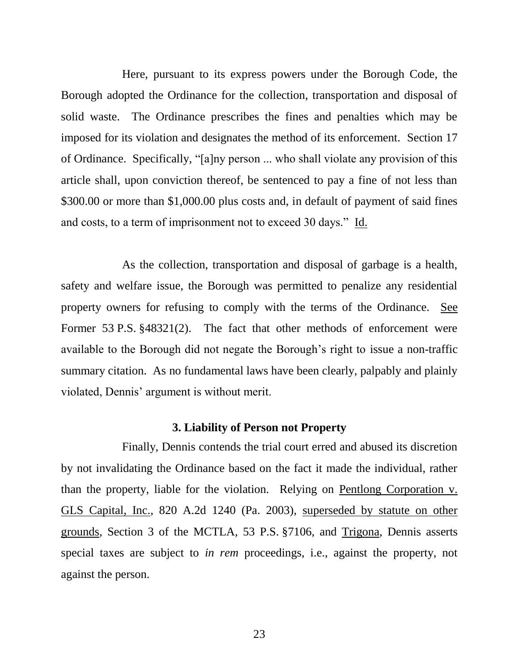Here, pursuant to its express powers under the Borough Code, the Borough adopted the Ordinance for the collection, transportation and disposal of solid waste. The Ordinance prescribes the fines and penalties which may be imposed for its violation and designates the method of its enforcement. Section 17 of Ordinance. Specifically, "[a]ny person ... who shall violate any provision of this article shall, upon conviction thereof, be sentenced to pay a fine of not less than \$300.00 or more than \$1,000.00 plus costs and, in default of payment of said fines and costs, to a term of imprisonment not to exceed 30 days." Id.

As the collection, transportation and disposal of garbage is a health, safety and welfare issue, the Borough was permitted to penalize any residential property owners for refusing to comply with the terms of the Ordinance. See Former 53 P.S. §48321(2). The fact that other methods of enforcement were available to the Borough did not negate the Borough's right to issue a non-traffic summary citation. As no fundamental laws have been clearly, palpably and plainly violated, Dennis' argument is without merit.

#### **3. Liability of Person not Property**

Finally, Dennis contends the trial court erred and abused its discretion by not invalidating the Ordinance based on the fact it made the individual, rather than the property, liable for the violation. Relying on Pentlong Corporation v. GLS Capital, Inc., 820 A.2d 1240 (Pa. 2003), superseded by statute on other grounds, Section 3 of the MCTLA, 53 P.S. §7106, and Trigona, Dennis asserts special taxes are subject to *in rem* proceedings, i.e., against the property, not against the person.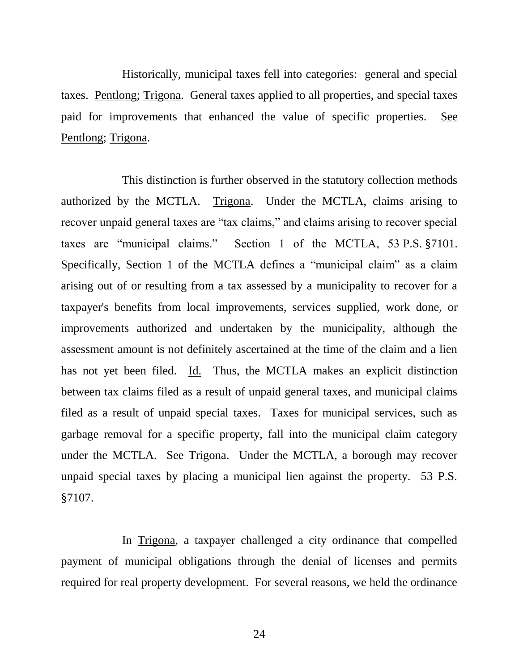Historically, municipal taxes fell into categories: general and special taxes. Pentlong; Trigona. General taxes applied to all properties, and special taxes paid for improvements that enhanced the value of specific properties. See Pentlong; Trigona.

This distinction is further observed in the statutory collection methods authorized by the MCTLA. Trigona. Under the MCTLA, claims arising to recover unpaid general taxes are "tax claims," and claims arising to recover special taxes are "municipal claims." Section 1 of the MCTLA, 53 P.S. §7101. Specifically, Section 1 of the MCTLA defines a "municipal claim" as a claim arising out of or resulting from a tax assessed by a municipality to recover for a taxpayer's benefits from local improvements, services supplied, work done, or improvements authorized and undertaken by the municipality, although the assessment amount is not definitely ascertained at the time of the claim and a lien has not yet been filed. Id. Thus, the MCTLA makes an explicit distinction between tax claims filed as a result of unpaid general taxes, and municipal claims filed as a result of unpaid special taxes. Taxes for municipal services, such as garbage removal for a specific property, fall into the municipal claim category under the MCTLA. See Trigona. Under the MCTLA, a borough may recover unpaid special taxes by placing a municipal lien against the property. 53 P.S. §7107.

In Trigona, a taxpayer challenged a city ordinance that compelled payment of municipal obligations through the denial of licenses and permits required for real property development. For several reasons, we held the ordinance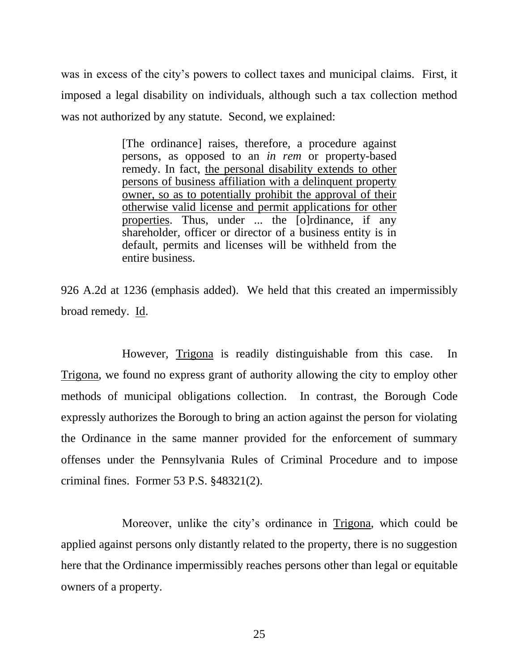was in excess of the city's powers to collect taxes and municipal claims. First, it imposed a legal disability on individuals, although such a tax collection method was not authorized by any statute. Second, we explained:

> [The ordinance] raises, therefore, a procedure against persons, as opposed to an *in rem* or property-based remedy. In fact, the personal disability extends to other persons of business affiliation with a delinquent property owner, so as to potentially prohibit the approval of their otherwise valid license and permit applications for other properties. Thus, under ... the [o]rdinance, if any shareholder, officer or director of a business entity is in default, permits and licenses will be withheld from the entire business.

926 A.2d at 1236 (emphasis added). We held that this created an impermissibly broad remedy. Id.

However, Trigona is readily distinguishable from this case. In Trigona, we found no express grant of authority allowing the city to employ other methods of municipal obligations collection. In contrast, the Borough Code expressly authorizes the Borough to bring an action against the person for violating the Ordinance in the same manner provided for the enforcement of summary offenses under the Pennsylvania Rules of Criminal Procedure and to impose criminal fines. Former 53 P.S. §48321(2).

Moreover, unlike the city's ordinance in Trigona, which could be applied against persons only distantly related to the property, there is no suggestion here that the Ordinance impermissibly reaches persons other than legal or equitable owners of a property.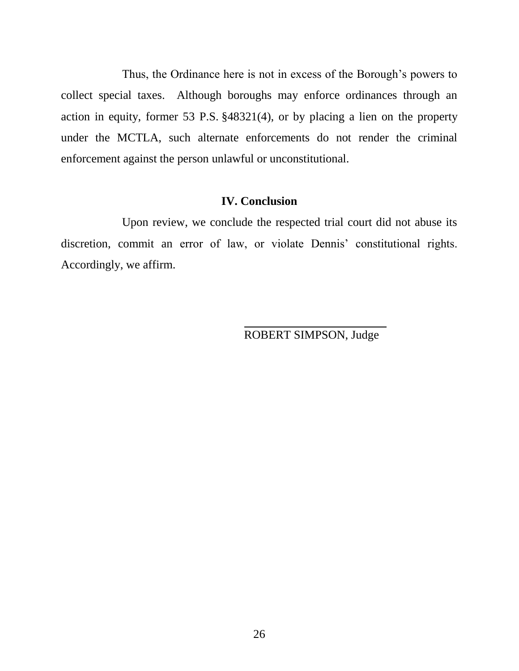Thus, the Ordinance here is not in excess of the Borough's powers to collect special taxes. Although boroughs may enforce ordinances through an action in equity, former 53 P.S. §48321(4), or by placing a lien on the property under the MCTLA, such alternate enforcements do not render the criminal enforcement against the person unlawful or unconstitutional.

# **IV. Conclusion**

Upon review, we conclude the respected trial court did not abuse its discretion, commit an error of law, or violate Dennis' constitutional rights. Accordingly, we affirm.

ROBERT SIMPSON, Judge